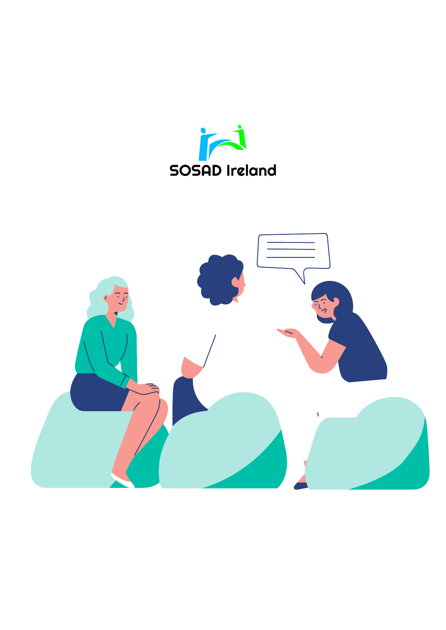

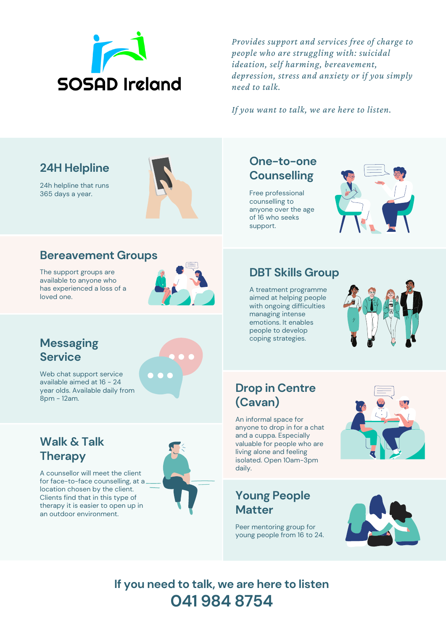

*Provides support and services free of charge to people who are struggling with: suicidal ideation, self harming, bereavement, depression, stress and anxiety or if you simply need to talk.*

*If you want to talk, we are here to listen.*

## **24H Helpline**

24h helpline that runs 365 days a year.



#### **Bereavement Groups**

The support groups are available to anyone who has experienced a loss of a loved one.



### **Messaging Service**

Web chat support service available aimed at 16 - 24 year olds. Available daily from 8pm - 12am.

## **Walk & Talk Therapy**

A counsellor will meet the client for face-to-face counselling, at a location chosen by the client. Clients find that in this type of therapy it is easier to open up in an outdoor environment.



### **One-to-one Counselling**

Free professional counselling to anyone over the age of 16 who seeks support.



## **DBT Skills Group**

A treatment programme aimed at helping people with ongoing difficulties managing intense emotions. It enables people to develop coping strategies.



### **Drop in Centre (Cavan)**

An informal space for anyone to drop in for a chat and a cuppa. Especially valuable for people who are living alone and feeling isolated. Open 10am-3pm daily.

#### **Young People Matter**

Peer mentoring group for young people from 16 to 24.





**If you need to talk, we are here to listen 041 984 8754**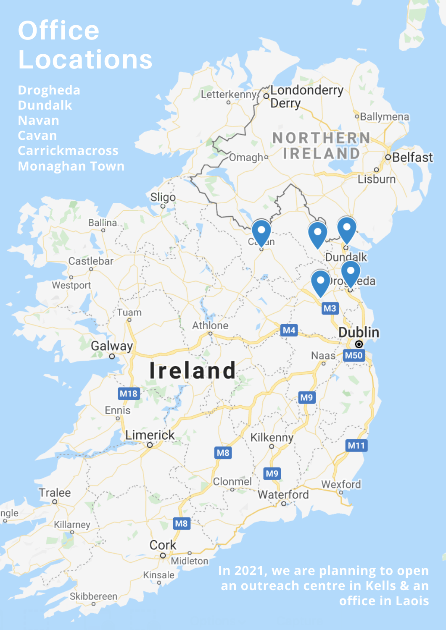## **Office Locations**

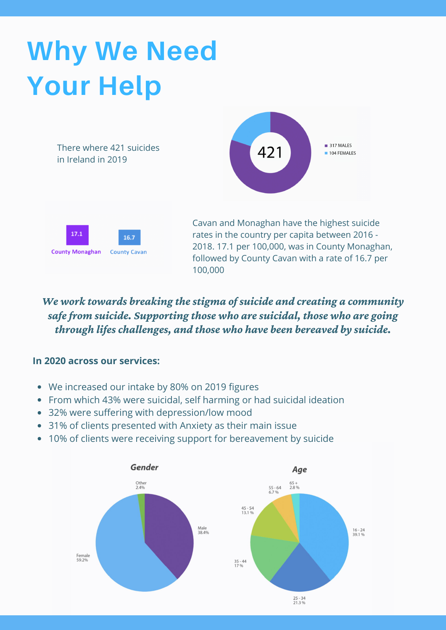## **Why We Need Your Help**

There where 421 suicides in Ireland in 2019





Cavan and Monaghan have the highest suicide rates in the country per capita between 2016 - 2018. 17.1 per 100,000, was in County Monaghan, followed by County Cavan with a rate of 16.7 per 100,000

*We work towards breaking the stigma of suicide and creating a community safe from suicide. Supporting those who are suicidal, those who are going through lifeschallenges, and those who have been bereaved by suicide.*

#### **In 2020 across our services:**

- We increased our intake by 80% on 2019 figures
- From which 43% were suicidal, self harming or had suicidal ideation
- 32% were suffering with depression/low mood
- 31% of clients presented with Anxiety as their main issue
- 10% of clients were receiving support for bereavement by suicide